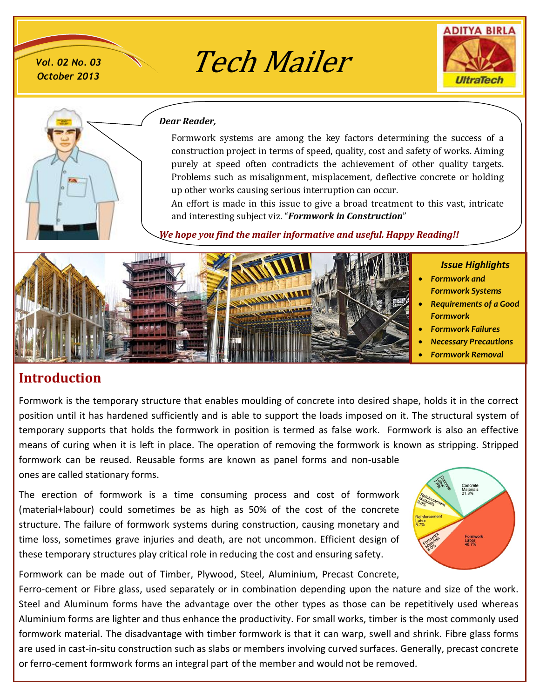*October 2013*

*Vol. 02 No. 03* Tech Mailer





#### *Dear Reader,*

Formwork systems are among the key factors determining the success of a construction project in terms of speed, quality, cost and safety of works. Aiming purely at speed often contradicts the achievement of other quality targets. Problems such as misalignment, misplacement, deflective concrete or holding up other works causing serious interruption can occur.

An effort is made in this issue to give a broad treatment to this vast, intricate and interesting subject viz. "*Formwork in Construction*"

*We hope you find the mailer informative and useful. Happy Reading!!*



# **Introduction**

Formwork is the temporary structure that enables moulding of concrete into desired shape, holds it in the correct position until it has hardened sufficiently and is able to support the loads imposed on it. The structural system of temporary supports that holds the formwork in position is termed as false work. Formwork is also an effective means of curing when it is left in place. The operation of removing the formwork is known as stripping. Stripped formwork can be reused. Reusable forms are known as panel forms and non-usable ones are called stationary forms.

The erection of formwork is a time consuming process and cost of formwork (material+labour) could sometimes be as high as 50% of the cost of the concrete structure. The failure of formwork systems during construction, causing monetary and time loss, sometimes grave injuries and death, are not uncommon. Efficient design of these temporary structures play critical role in reducing the cost and ensuring safety.



Formwork can be made out of Timber, Plywood, Steel, Aluminium, Precast Concrete,

Ferro-cement or Fibre glass, used separately or in combination depending upon the nature and size of the work. Steel and Aluminum forms have the advantage over the other types as those can be repetitively used whereas Aluminium forms are lighter and thus enhance the productivity. For small works, timber is the most commonly used formwork material. The disadvantage with timber formwork is that it can warp, swell and shrink. Fibre glass forms are used in cast-in-situ construction such as slabs or members involving curved surfaces. Generally, precast concrete or ferro-cement formwork forms an integral part of the member and would not be removed.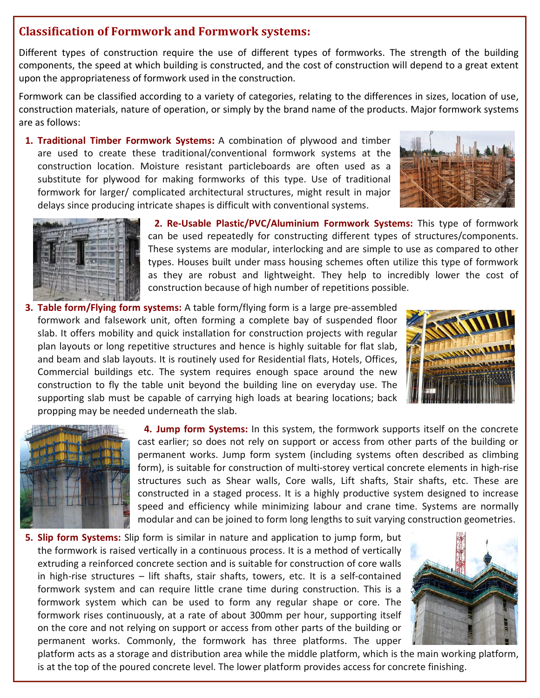### **Classification of Formwork and Formwork systems:**

Different types of construction require the use of different types of formworks. The strength of the building components, the speed at which building is constructed, and the cost of construction will depend to a great extent upon the appropriateness of formwork used in the construction.

Formwork can be classified according to a variety of categories, relating to the differences in sizes, location of use, construction materials, nature of operation, or simply by the brand name of the products. Major formwork systems are as follows:

**1. Traditional Timber Formwork Systems:** A combination of plywood and timber are used to create these traditional/conventional formwork systems at the construction location. Moisture resistant particleboards are often used as a substitute for plywood for making formworks of this type. Use of traditional formwork for larger/ complicated architectural structures, might result in major delays since producing intricate shapes is difficult with conventional systems.





**2. Re-Usable Plastic/PVC/Aluminium Formwork Systems:** This type of formwork can be used repeatedly for constructing different types of structures/components. These systems are modular, interlocking and are simple to use as compared to other types. Houses built under mass housing schemes often utilize this type of formwork as they are robust and lightweight. They help to incredibly lower the cost of construction because of high number of repetitions possible.

**3. Table form/Flying form systems:** A table form/flying form is a large pre-assembled formwork and falsework unit, often forming a complete bay of suspended floor slab. It offers mobility and quick installation for construction projects with regular plan layouts or long repetitive structures and hence is highly suitable for flat slab, and beam and slab layouts. It is routinely used for Residential flats, Hotels, Offices, Commercial buildings etc. The system requires enough space around the new construction to fly the table unit beyond the building line on everyday use. The supporting slab must be capable of carrying high loads at bearing locations; back propping may be needed underneath the slab.





**4. Jump form Systems:** In this system, the formwork supports itself on the concrete cast earlier; so does not rely on support or access from other parts of the building or permanent works. Jump form system (including systems often described as climbing form), is suitable for construction of multi-storey vertical concrete elements in high-rise structures such as Shear walls, Core walls, Lift shafts, Stair shafts, etc. These are constructed in a staged process. It is a highly productive system designed to increase speed and efficiency while minimizing labour and crane time. Systems are normally modular and can be joined to form long lengths to suit varying construction geometries.

**5. Slip form Systems:** Slip form is similar in nature and application to jump form, but the formwork is raised vertically in a continuous process. It is a method of vertically extruding a reinforced concrete section and is suitable for construction of core walls in high-rise structures – lift shafts, stair shafts, towers, etc. It is a self-contained formwork system and can require little crane time during construction. This is a formwork system which can be used to form any regular shape or core. The formwork rises continuously, at a rate of about 300mm per hour, supporting itself on the core and not relying on support or access from other parts of the building or permanent works. Commonly, the formwork has three platforms. The upper



platform acts as a storage and distribution area while the middle platform, which is the main working platform, is at the top of the poured concrete level. The lower platform provides access for concrete finishing.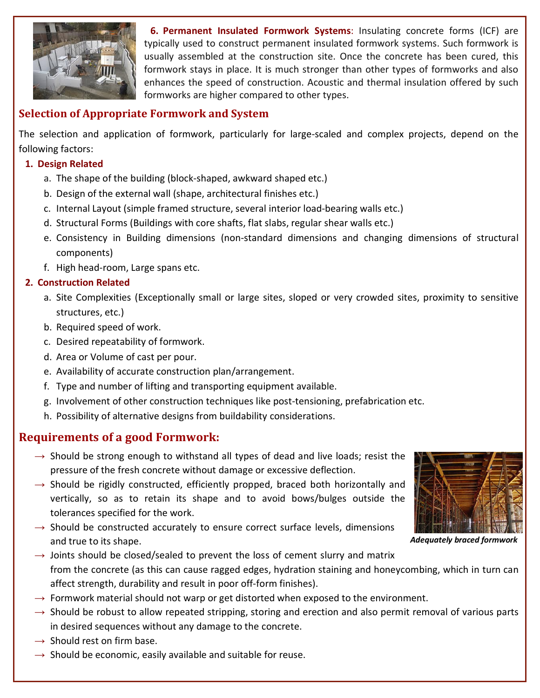

**6. Permanent Insulated Formwork Systems**: Insulating concrete forms (ICF) are typically used to construct permanent insulated formwork systems. Such formwork is usually assembled at the construction site. Once the concrete has been cured, this formwork stays in place. It is much stronger than other types of formworks and also enhances the speed of construction. Acoustic and thermal insulation offered by such formworks are higher compared to other types.

# **Selection of Appropriate Formwork and System**

The selection and application of formwork, particularly for large-scaled and complex projects, depend on the following factors:

#### **1. Design Related**

- a. The shape of the building (block-shaped, awkward shaped etc.)
- b. Design of the external wall (shape, architectural finishes etc.)
- c. Internal Layout (simple framed structure, several interior load-bearing walls etc.)
- d. Structural Forms (Buildings with core shafts, flat slabs, regular shear walls etc.)
- e. Consistency in Building dimensions (non-standard dimensions and changing dimensions of structural components)
- f. High head-room, Large spans etc.

#### **2. Construction Related**

- a. Site Complexities (Exceptionally small or large sites, sloped or very crowded sites, proximity to sensitive structures, etc.)
- b. Required speed of work.
- c. Desired repeatability of formwork.
- d. Area or Volume of cast per pour.
- e. Availability of accurate construction plan/arrangement.
- f. Type and number of lifting and transporting equipment available.
- g. Involvement of other construction techniques like post-tensioning, prefabrication etc.
- h. Possibility of alternative designs from buildability considerations.

### **Requirements of a good Formwork:**

- $\rightarrow$  Should be strong enough to withstand all types of dead and live loads; resist the pressure of the fresh concrete without damage or excessive deflection.
- $\rightarrow$  Should be rigidly constructed, efficiently propped, braced both horizontally and vertically, so as to retain its shape and to avoid bows/bulges outside the tolerances specified for the work.
- $\rightarrow$  Should be constructed accurately to ensure correct surface levels, dimensions and true to its shape.



*Adequately braced formwork*

- $\rightarrow$  Joints should be closed/sealed to prevent the loss of cement slurry and matrix from the concrete (as this can cause ragged edges, hydration staining and honeycombing, which in turn can affect strength, durability and result in poor off-form finishes).
- $\rightarrow$  Formwork material should not warp or get distorted when exposed to the environment.
- $\rightarrow$  Should be robust to allow repeated stripping, storing and erection and also permit removal of various parts in desired sequences without any damage to the concrete.
- $\rightarrow$  Should rest on firm base.
- $\rightarrow$  Should be economic, easily available and suitable for reuse.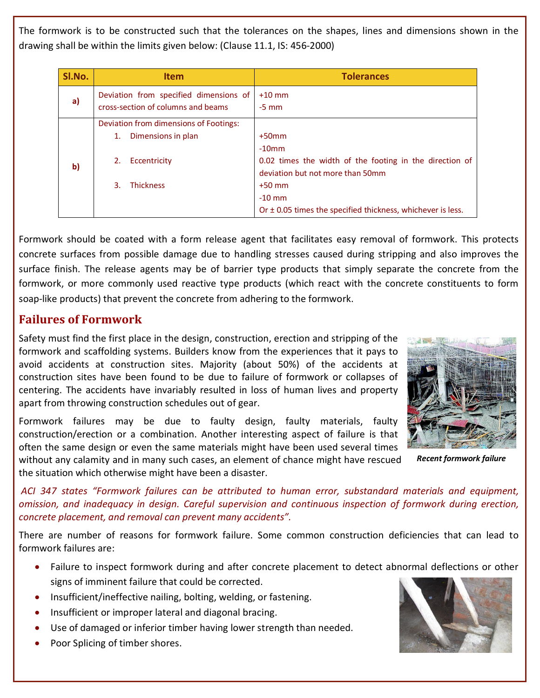The formwork is to be constructed such that the tolerances on the shapes, lines and dimensions shown in the drawing shall be within the limits given below: (Clause 11.1, IS: 456-2000)

| SI.No. | <b>Item</b>                                                                                                        | <b>Tolerances</b>                                                                                                                                                                                              |  |
|--------|--------------------------------------------------------------------------------------------------------------------|----------------------------------------------------------------------------------------------------------------------------------------------------------------------------------------------------------------|--|
| a)     | Deviation from specified dimensions of<br>cross-section of columns and beams                                       | $+10$ mm<br>$-5$ mm                                                                                                                                                                                            |  |
| b)     | Deviation from dimensions of Footings:<br>Dimensions in plan<br>1.<br>Eccentricity<br>2.<br><b>Thickness</b><br>3. | $+50$ mm<br>$-10$ mm<br>0.02 times the width of the footing in the direction of<br>deviation but not more than 50mm<br>$+50$ mm<br>$-10$ mm<br>Or $\pm$ 0.05 times the specified thickness, whichever is less. |  |

Formwork should be coated with a form release agent that facilitates easy removal of formwork. This protects concrete surfaces from possible damage due to handling stresses caused during stripping and also improves the surface finish. The release agents may be of barrier type products that simply separate the concrete from the formwork, or more commonly used reactive type products (which react with the concrete constituents to form soap-like products) that prevent the concrete from adhering to the formwork.

# **Failures of Formwork**

Safety must find the first place in the design, construction, erection and stripping of the formwork and scaffolding systems. Builders know from the experiences that it pays to avoid accidents at construction sites. Majority (about 50%) of the accidents at construction sites have been found to be due to failure of formwork or collapses of centering. The accidents have invariably resulted in loss of human lives and property apart from throwing construction schedules out of gear.

Formwork failures may be due to faulty design, faulty materials, faulty construction/erection or a combination. Another interesting aspect of failure is that often the same design or even the same materials might have been used several times without any calamity and in many such cases, an element of chance might have rescued



*Recent formwork failure*

the situation which otherwise might have been a disaster.

*ACI 347 states "Formwork failures can be attributed to human error, substandard materials and equipment, omission, and inadequacy in design. Careful supervision and continuous inspection of formwork during erection, concrete placement, and removal can prevent many accidents".*

There are number of reasons for formwork failure. Some common construction deficiencies that can lead to formwork failures are:

- · Failure to inspect formwork during and after concrete placement to detect abnormal deflections or other signs of imminent failure that could be corrected.
- · Insufficient/ineffective nailing, bolting, welding, or fastening.
- Insufficient or improper lateral and diagonal bracing.
- Use of damaged or inferior timber having lower strength than needed.
- Poor Splicing of timber shores.

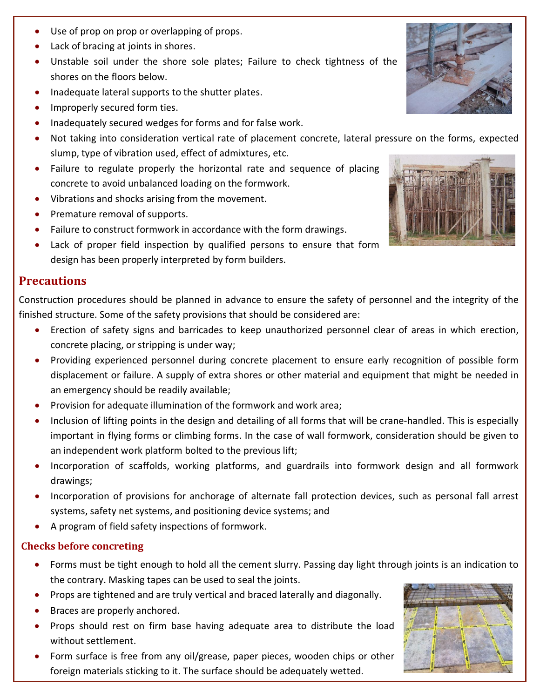- Use of prop on prop or overlapping of props.
- · Lack of bracing at joints in shores.
- · Unstable soil under the shore sole plates; Failure to check tightness of the shores on the floors below.
- · Inadequate lateral supports to the shutter plates.
- · Improperly secured form ties.
- · Inadequately secured wedges for forms and for false work.
- · Not taking into consideration vertical rate of placement concrete, lateral pressure on the forms, expected slump, type of vibration used, effect of admixtures, etc.
- · Failure to regulate properly the horizontal rate and sequence of placing concrete to avoid unbalanced loading on the formwork.
- · Vibrations and shocks arising from the movement.
- · Premature removal of supports.
- Failure to construct formwork in accordance with the form drawings.
- · Lack of proper field inspection by qualified persons to ensure that form design has been properly interpreted by form builders.

### **Precautions**

Construction procedures should be planned in advance to ensure the safety of personnel and the integrity of the finished structure. Some of the safety provisions that should be considered are:

- · Erection of safety signs and barricades to keep unauthorized personnel clear of areas in which erection, concrete placing, or stripping is under way;
- · Providing experienced personnel during concrete placement to ensure early recognition of possible form displacement or failure. A supply of extra shores or other material and equipment that might be needed in an emergency should be readily available;
- Provision for adequate illumination of the formwork and work area;
- · Inclusion of lifting points in the design and detailing of all forms that will be crane-handled. This is especially important in flying forms or climbing forms. In the case of wall formwork, consideration should be given to an independent work platform bolted to the previous lift;
- · Incorporation of scaffolds, working platforms, and guardrails into formwork design and all formwork drawings;
- · Incorporation of provisions for anchorage of alternate fall protection devices, such as personal fall arrest systems, safety net systems, and positioning device systems; and
- · A program of field safety inspections of formwork.

### **Checks before concreting**

- · Forms must be tight enough to hold all the cement slurry. Passing day light through joints is an indication to the contrary. Masking tapes can be used to seal the joints.
- · Props are tightened and are truly vertical and braced laterally and diagonally.
- · Braces are properly anchored.
- · Props should rest on firm base having adequate area to distribute the load without settlement.
- Form surface is free from any oil/grease, paper pieces, wooden chips or other foreign materials sticking to it. The surface should be adequately wetted.





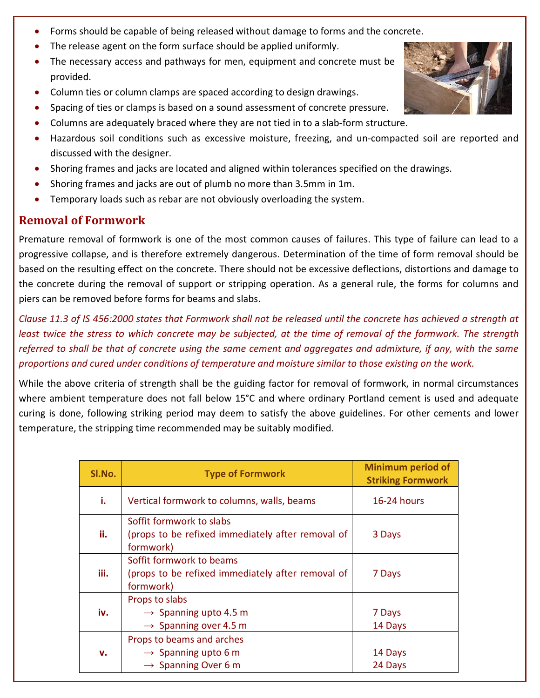- Forms should be capable of being released without damage to forms and the concrete.
- The release agent on the form surface should be applied uniformly.
- · The necessary access and pathways for men, equipment and concrete must be provided.
- · Column ties or column clamps are spaced according to design drawings.
- · Spacing of ties or clamps is based on a sound assessment of concrete pressure.
- · Columns are adequately braced where they are not tied in to a slab-form structure.
- · Hazardous soil conditions such as excessive moisture, freezing, and un-compacted soil are reported and discussed with the designer.
- · Shoring frames and jacks are located and aligned within tolerances specified on the drawings.
- · Shoring frames and jacks are out of plumb no more than 3.5mm in 1m.
- Temporary loads such as rebar are not obviously overloading the system.

# **Removal of Formwork**

Premature removal of formwork is one of the most common causes of failures. This type of failure can lead to a progressive collapse, and is therefore extremely dangerous. Determination of the time of form removal should be based on the resulting effect on the concrete. There should not be excessive deflections, distortions and damage to the concrete during the removal of support or stripping operation. As a general rule, the forms for columns and piers can be removed before forms for beams and slabs.

*Clause 11.3 of IS 456:2000 states that Formwork shall not be released until the concrete has achieved a strength at least twice the stress to which concrete may be subjected, at the time of removal of the formwork. The strength referred to shall be that of concrete using the same cement and aggregates and admixture, if any, with the same proportions and cured under conditions of temperature and moisture similar to those existing on the work.*

While the above criteria of strength shall be the guiding factor for removal of formwork, in normal circumstances where ambient temperature does not fall below 15°C and where ordinary Portland cement is used and adequate curing is done, following striking period may deem to satisfy the above guidelines. For other cements and lower temperature, the stripping time recommended may be suitably modified.

| SI.No. | <b>Type of Formwork</b>                                                                         | <b>Minimum period of</b><br><b>Striking Formwork</b> |
|--------|-------------------------------------------------------------------------------------------------|------------------------------------------------------|
| i.     | Vertical formwork to columns, walls, beams                                                      | <b>16-24 hours</b>                                   |
| ii.    | Soffit formwork to slabs<br>(props to be refixed immediately after removal of<br>formwork)      | 3 Days                                               |
| iii.   | Soffit formwork to beams<br>(props to be refixed immediately after removal of<br>formwork)      | 7 Days                                               |
| iv.    | Props to slabs<br>$\rightarrow$ Spanning upto 4.5 m<br>$\rightarrow$ Spanning over 4.5 m        | 7 Days<br>14 Days                                    |
| v.     | Props to beams and arches<br>$\rightarrow$ Spanning upto 6 m<br>$\rightarrow$ Spanning Over 6 m | 14 Days<br>24 Days                                   |